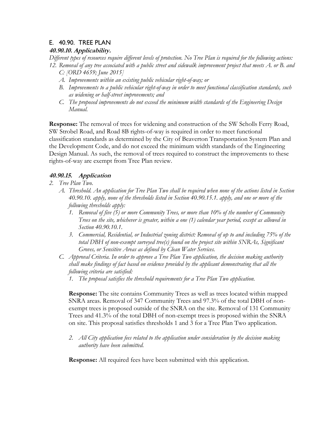# E. 40.90. TREE PLAN

### **40.90.10. Applicability.**

*Different types of resources require different levels of protection. No Tree Plan is required for the following actions: 12. Removal of any tree associated with a public street and sidewalk improvement project that meets A. or B. and* 

- *C: [ORD 4659; June 2015]*
- *A. Improvements within an existing public vehicular right-of-way; or*
- *B. Improvements to a public vehicular right-of-way in order to meet functional classification standards, such as widening or half-street improvements; and*
- *C. The proposed improvements do not exceed the minimum width standards of the Engineering Design Manual.*

**Response:** The removal of trees for widening and construction of the SW Scholls Ferry Road, SW Strobel Road, and Road 8B rights-of-way is required in order to meet functional classification standards as determined by the City of Beaverton Transportation System Plan and the Development Code, and do not exceed the minimum width standards of the Engineering Design Manual. As such, the removal of trees required to construct the improvements to these rights-of-way are exempt from Tree Plan review.

## **40.90.15. Application**

- *2. Tree Plan Two.* 
	- *A. Threshold. An application for Tree Plan Two shall be required when none of the actions listed in Section 40.90.10. apply, none of the thresholds listed in Section 40.90.15.1. apply, and one or more of the following thresholds apply:* 
		- *1. Removal of five (5) or more Community Trees, or more than 10% of the number of Community Trees on the site, whichever is greater, within a one (1) calendar year period, except as allowed in Section 40.90.10.1.*
		- *3. Commercial, Residential, or Industrial zoning district: Removal of up to and including 75% of the total DBH of non-exempt surveyed tree(s) found on the project site within SNRAs, Significant Groves, or Sensitive Areas as defined by Clean Water Services.*
	- *C. Approval Criteria. In order to approve a Tree Plan Two application, the decision making authority shall make findings of fact based on evidence provided by the applicant demonstrating that all the following criteria are satisfied:* 
		- *1. The proposal satisfies the threshold requirements for a Tree Plan Two application.*

**Response:** The site contains Community Trees as well as trees located within mapped SNRA areas. Removal of 347 Community Trees and 97.3% of the total DBH of nonexempt trees is proposed outside of the SNRA on the site. Removal of 131 Community Trees and 41.3% of the total DBH of non-exempt trees is proposed within the SNRA on site. This proposal satisfies thresholds 1 and 3 for a Tree Plan Two application.

*2. All City application fees related to the application under consideration by the decision making authority have been submitted.* 

**Response:** All required fees have been submitted with this application.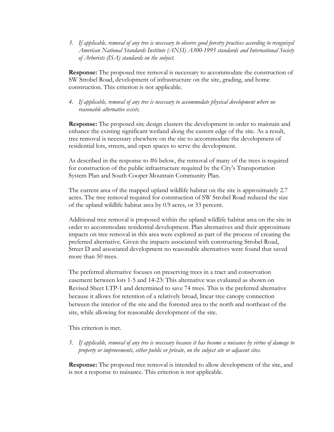*3. If applicable, removal of any tree is necessary to observe good forestry practices according to recognized American National Standards Institute (ANSI) A300-1995 standards and International Society of Arborists (ISA) standards on the subject.* 

**Response:** The proposed tree removal is necessary to accommodate the construction of SW Strobel Road, development of infrastructure on the site, grading, and home construction. This criterion is not applicable.

*4. If applicable, removal of any tree is necessary to accommodate physical development where no reasonable alternative exists.* 

**Response:** The proposed site design clusters the development in order to maintain and enhance the existing significant wetland along the eastern edge of the site. As a result, tree removal is necessary elsewhere on the site to accommodate the development of residential lots, streets, and open spaces to serve the development.

As described in the response to #6 below, the removal of many of the trees is required for construction of the public infrastructure required by the City's Transportation System Plan and South Cooper Mountain Community Plan.

The current area of the mapped upland wildlife habitat on the site is approximately 2.7 acres. The tree removal required for construction of SW Strobel Road reduced the size of the upland wildlife habitat area by 0.9 acres, or 33 percent.

Additional tree removal is proposed within the upland wildlife habitat area on the site in order to accommodate residential development. Plan alternatives and their approximate impacts on tree removal in this area were explored as part of the process of creating the preferred alternative. Given the impacts associated with constructing Strobel Road, Street D and associated development no reasonable alternatives were found that saved more than 50 trees.

The preferred alternative focuses on preserving trees in a tract and conservation easement between lots 1-5 and 14-23: This alternative was evaluated as shown on Revised Sheet LTP-1 and determined to save 74 trees. This is the preferred alternative because it allows for retention of a relatively broad, linear tree canopy connection between the interior of the site and the forested area to the north and northeast of the site, while allowing for reasonable development of the site.

This criterion is met.

*5. If applicable, removal of any tree is necessary because it has become a nuisance by virtue of damage to property or improvements, either public or private, on the subject site or adjacent sites.* 

**Response:** The proposed tree removal is intended to allow development of the site, and is not a response to nuisance. This criterion is not applicable.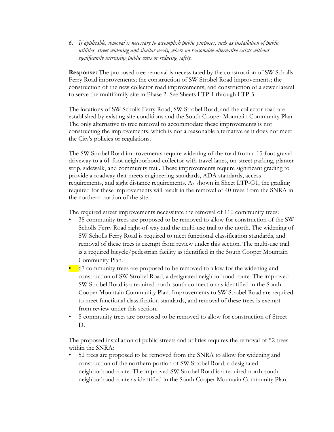*6. If applicable, removal is necessary to accomplish public purposes, such as installation of public utilities, street widening and similar needs, where no reasonable alternative exists without significantly increasing public costs or reducing safety.* 

**Response:** The proposed tree removal is necessitated by the construction of SW Scholls Ferry Road improvements; the construction of SW Strobel Road improvements; the construction of the new collector road improvements; and construction of a sewer lateral to serve the multifamily site in Phase 2. See Sheets LTP-1 through LTP-5.

The locations of SW Scholls Ferry Road, SW Strobel Road, and the collector road are established by existing site conditions and the South Cooper Mountain Community Plan. The only alternative to tree removal to accommodate these improvements is not constructing the improvements, which is not a reasonable alternative as it does not meet the City's policies or regulations.

The SW Strobel Road improvements require widening of the road from a 15-foot gravel driveway to a 61-foot neighborhood collector with travel lanes, on-street parking, planter strip, sidewalk, and community trail. These improvements require significant grading to provide a roadway that meets engineering standards, ADA standards, access requirements, and sight distance requirements. As shown in Sheet LTP-G1, the grading required for these improvements will result in the removal of 40 trees from the SNRA in the northern portion of the site.

The required street improvements necessitate the removal of 110 community trees:

- 38 community trees are proposed to be removed to allow for construction of the SW Scholls Ferry Road right-of-way and the multi-use trail to the north. The widening of SW Scholls Ferry Road is required to meet functional classification standards, and removal of these trees is exempt from review under this section. The multi-use trail is a required bicycle/pedestrian facility as identified in the South Cooper Mountain Community Plan.
- 67 community trees are proposed to be removed to allow for the widening and construction of SW Strobel Road, a designated neighborhood route. The improved SW Strobel Road is a required north-south connection as identified in the South Cooper Mountain Community Plan. Improvements to SW Strobel Road are required to meet functional classification standards, and removal of these trees is exempt from review under this section.
- 5 community trees are proposed to be removed to allow for construction of Street D.

The proposed installation of public streets and utilities requires the removal of 52 trees within the SNRA:

• 52 trees are proposed to be removed from the SNRA to allow for widening and construction of the northern portion of SW Strobel Road, a designated neighborhood route. The improved SW Strobel Road is a required north-south neighborhood route as identified in the South Cooper Mountain Community Plan.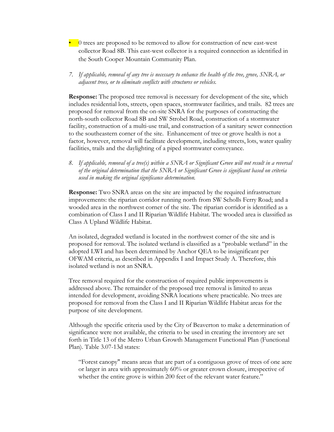- 0 trees are proposed to be removed to allow for construction of new east-west collector Road 8B. This east-west collector is a required connection as identified in the South Cooper Mountain Community Plan.
- *7. If applicable, removal of any tree is necessary to enhance the health of the tree, grove, SNRA, or adjacent trees, or to eliminate conflicts with structures or vehicles.*

**Response:** The proposed tree removal is necessary for development of the site, which includes residential lots, streets, open spaces, stormwater facilities, and trails. 82 trees are proposed for removal from the on-site SNRA for the purposes of constructing the north-south collector Road 8B and SW Strobel Road, construction of a stormwater facility, construction of a multi-use trail, and construction of a sanitary sewer connection to the southeastern corner of the site. Enhancement of tree or grove health is not a factor, however, removal will facilitate development, including streets, lots, water quality facilities, trails and the daylighting of a piped stormwater conveyance.

*8. If applicable, removal of a tree(s) within a SNRA or Significant Grove will not result in a reversal of the original determination that the SNRA or Significant Grove is significant based on criteria used in making the original significance determination.* 

**Response:** Two SNRA areas on the site are impacted by the required infrastructure improvements: the riparian corridor running north from SW Scholls Ferry Road; and a wooded area in the northwest corner of the site. The riparian corridor is identified as a combination of Class I and II Riparian Wildlife Habitat. The wooded area is classified as Class A Upland Wildlife Habitat.

An isolated, degraded wetland is located in the northwest corner of the site and is proposed for removal. The isolated wetland is classified as a "probable wetland" in the adopted LWI and has been determined by Anchor QEA to be insignificant per OFWAM criteria, as described in Appendix I and Impact Study A. Therefore, this isolated wetland is not an SNRA.

Tree removal required for the construction of required public improvements is addressed above. The remainder of the proposed tree removal is limited to areas intended for development, avoiding SNRA locations where practicable. No trees are proposed for removal from the Class I and II Riparian Wildlife Habitat areas for the purpose of site development.

Although the specific criteria used by the City of Beaverton to make a determination of significance were not available, the criteria to be used in creating the inventory are set forth in Title 13 of the Metro Urban Growth Management Functional Plan (Functional Plan). Table 3.07-13d states:

"Forest canopy" means areas that are part of a contiguous grove of trees of one acre or larger in area with approximately 60% or greater crown closure, irrespective of whether the entire grove is within 200 feet of the relevant water feature."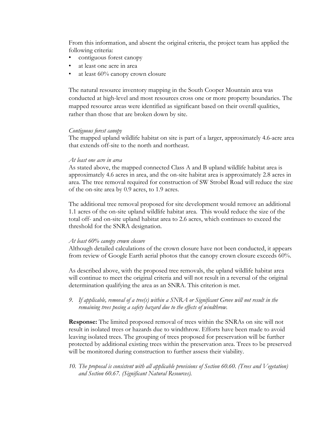From this information, and absent the original criteria, the project team has applied the following criteria:

- contiguous forest canopy
- at least one acre in area
- at least 60% canopy crown closure

The natural resource inventory mapping in the South Cooper Mountain area was conducted at high-level and most resources cross one or more property boundaries. The mapped resource areas were identified as significant based on their overall qualities, rather than those that are broken down by site.

### *Contiguous forest canopy*

The mapped upland wildlife habitat on site is part of a larger, approximately 4.6-acre area that extends off-site to the north and northeast.

#### *At least one acre in area*

As stated above, the mapped connected Class A and B upland wildlife habitat area is approximately 4.6 acres in area, and the on-site habitat area is approximately 2.8 acres in area. The tree removal required for construction of SW Strobel Road will reduce the size of the on-site area by 0.9 acres, to 1.9 acres.

The additional tree removal proposed for site development would remove an additional 1.1 acres of the on-site upland wildlife habitat area. This would reduce the size of the total off- and on-site upland habitat area to 2.6 acres, which continues to exceed the threshold for the SNRA designation.

### *At least 60% canopy crown closure*

Although detailed calculations of the crown closure have not been conducted, it appears from review of Google Earth aerial photos that the canopy crown closure exceeds 60%.

As described above, with the proposed tree removals, the upland wildlife habitat area will continue to meet the original criteria and will not result in a reversal of the original determination qualifying the area as an SNRA. This criterion is met.

*9. If applicable, removal of a tree(s) within a SNRA or Significant Grove will not result in the remaining trees posing a safety hazard due to the effects of windthrow.* 

**Response:** The limited proposed removal of trees within the SNRAs on site will not result in isolated trees or hazards due to windthrow. Efforts have been made to avoid leaving isolated trees. The grouping of trees proposed for preservation will be further protected by additional existing trees within the preservation area. Trees to be preserved will be monitored during construction to further assess their viability.

*10. The proposal is consistent with all applicable provisions of Section 60.60. (Trees and Vegetation) and Section 60.67. (Significant Natural Resources).*